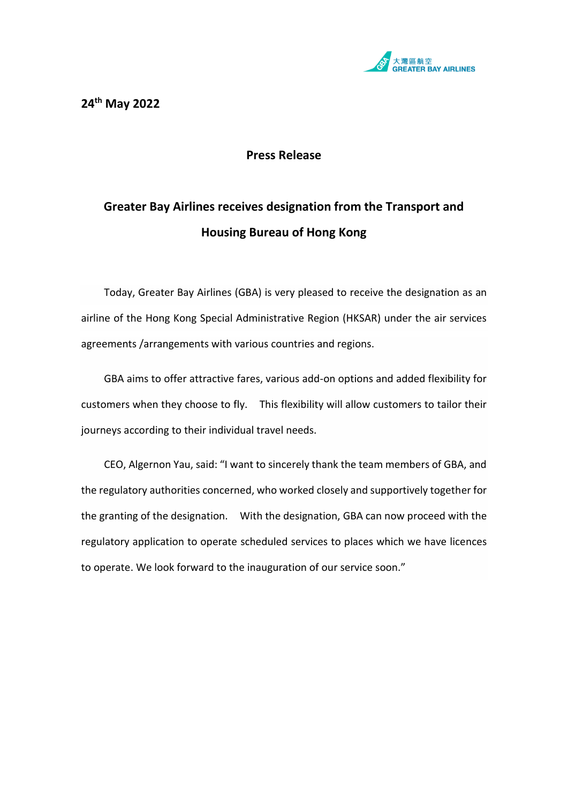

## **Press Release**

## **Greater Bay Airlines receives designation from the Transport and Housing Bureau of Hong Kong**

Today, Greater Bay Airlines (GBA) is very pleased to receive the designation as an airline of the Hong Kong Special Administrative Region (HKSAR) under the air services agreements /arrangements with various countries and regions.

GBA aims to offer attractive fares, various add-on options and added flexibility for customers when they choose to fly. This flexibility will allow customers to tailor their journeys according to their individual travel needs.

CEO, Algernon Yau, said: "I want to sincerely thank the team members of GBA, and the regulatory authorities concerned, who worked closely and supportively together for the granting of the designation. With the designation, GBA can now proceed with the regulatory application to operate scheduled services to places which we have licences to operate. We look forward to the inauguration of our service soon."